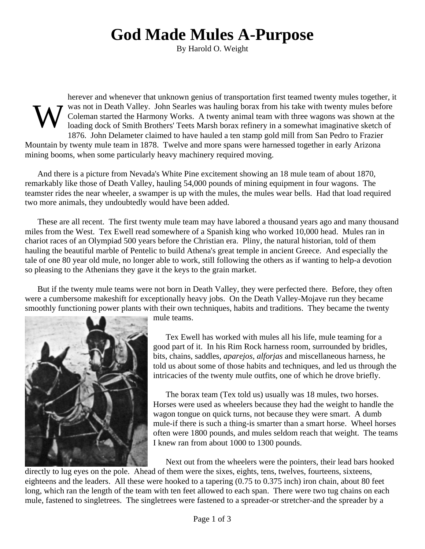## **God Made Mules A-Purpose**

By Harold O. Weight

W herever and whenever that unknown genius of transportation first teamed twenty mules together, it was not in Death Valley. John Searles was hauling borax from his take with twenty mules before Coleman started the Harmony Works. A twenty animal team with three wagons was shown at the loading dock of Smith Brothers' Teets Marsh borax refinery in a somewhat imaginative sketch of 1876. John Delameter claimed to have hauled a ten stamp gold mill from San Pedro to Frazier Mountain by twenty mule team in 1878. Twelve and more spans were harnessed together in early Arizona mining booms, when some particularly heavy machinery required moving.

And there is a picture from Nevada's White Pine excitement showing an 18 mule team of about 1870, remarkably like those of Death Valley, hauling 54,000 pounds of mining equipment in four wagons. The teamster rides the near wheeler, a swamper is up with the mules, the mules wear bells. Had that load required two more animals, they undoubtedly would have been added.

These are all recent. The first twenty mule team may have labored a thousand years ago and many thousand miles from the West. Tex Ewell read somewhere of a Spanish king who worked 10,000 head. Mules ran in chariot races of an Olympiad 500 years before the Christian era. Pliny, the natural historian, told of them hauling the beautiful marble of Pentelic to build Athena's great temple in ancient Greece. And especially the tale of one 80 year old mule, no longer able to work, still following the others as if wanting to help-a devotion so pleasing to the Athenians they gave it the keys to the grain market.

But if the twenty mule teams were not born in Death Valley, they were perfected there. Before, they often were a cumbersome makeshift for exceptionally heavy jobs. On the Death Valley-Mojave run they became smoothly functioning power plants with their own techniques, habits and traditions. They became the twenty



mule teams.

Tex Ewell has worked with mules all his life, mule teaming for a good part of it. In his Rim Rock harness room, surrounded by bridles, bits, chains, saddles, *aparejos*, *alforjas* and miscellaneous harness, he told us about some of those habits and techniques, and led us through the intricacies of the twenty mule outfits, one of which he drove briefly.

The borax team (Tex told us) usually was 18 mules, two horses. Horses were used as wheelers because they had the weight to handle the wagon tongue on quick turns, not because they were smart. A dumb mule-if there is such a thing-is smarter than a smart horse. Wheel horses often were 1800 pounds, and mules seldom reach that weight. The teams I knew ran from about 1000 to 1300 pounds.

Next out from the wheelers were the pointers, their lead bars hooked

directly to lug eyes on the pole. Ahead of them were the sixes, eights, tens, twelves, fourteens, sixteens, eighteens and the leaders. All these were hooked to a tapering (0.75 to 0.375 inch) iron chain, about 80 feet long, which ran the length of the team with ten feet allowed to each span. There were two tug chains on each mule, fastened to singletrees. The singletrees were fastened to a spreader-or stretcher-and the spreader by a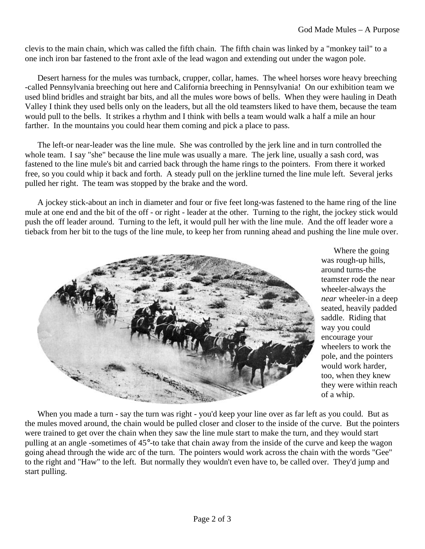clevis to the main chain, which was called the fifth chain. The fifth chain was linked by a "monkey tail" to a one inch iron bar fastened to the front axle of the lead wagon and extending out under the wagon pole.

Desert harness for the mules was turnback, crupper, collar, hames. The wheel horses wore heavy breeching -called Pennsylvania breeching out here and California breeching in Pennsylvania! On our exhibition team we used blind bridles and straight bar bits, and all the mules wore bows of bells. When they were hauling in Death Valley I think they used bells only on the leaders, but all the old teamsters liked to have them, because the team would pull to the bells. It strikes a rhythm and I think with bells a team would walk a half a mile an hour farther. In the mountains you could hear them coming and pick a place to pass.

The left-or near-leader was the line mule. She was controlled by the jerk line and in turn controlled the whole team. I say "she" because the line mule was usually a mare. The jerk line, usually a sash cord, was fastened to the line mule's bit and carried back through the hame rings to the pointers. From there it worked free, so you could whip it back and forth. A steady pull on the jerkline turned the line mule left. Several jerks pulled her right. The team was stopped by the brake and the word.

A jockey stick-about an inch in diameter and four or five feet long-was fastened to the hame ring of the line mule at one end and the bit of the off - or right - leader at the other. Turning to the right, the jockey stick would push the off leader around. Turning to the left, it would pull her with the line mule. And the off leader wore a tieback from her bit to the tugs of the line mule, to keep her from running ahead and pushing the line mule over.



Where the going was rough-up hills, around turns-the teamster rode the near wheeler-always the *near* wheeler-in a deep seated, heavily padded saddle. Riding that way you could encourage your wheelers to work the pole, and the pointers would work harder, too, when they knew they were within reach of a whip.

When you made a turn - say the turn was right - you'd keep your line over as far left as you could. But as the mules moved around, the chain would be pulled closer and closer to the inside of the curve. But the pointers were trained to get over the chain when they saw the line mule start to make the turn, and they would start pulling at an angle -sometimes of 45°-to take that chain away from the inside of the curve and keep the wagon going ahead through the wide arc of the turn. The pointers would work across the chain with the words "Gee" to the right and "Haw" to the left. But normally they wouldn't even have to, be called over. They'd jump and start pulling.